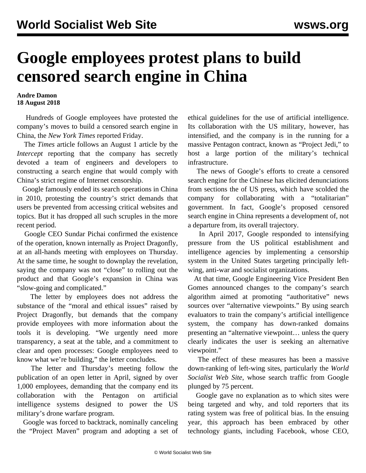## **Google employees protest plans to build censored search engine in China**

## **Andre Damon 18 August 2018**

 Hundreds of Google employees have protested the company's moves to build a censored search engine in China, the *New York Times* reported Friday.

 The *Times* article follows an August 1 article by the *Intercept* reporting that the company has secretly devoted a team of engineers and developers to constructing a search engine that would comply with China's strict regime of Internet censorship.

 Google famously ended its search operations in China in 2010, protesting the country's strict demands that users be prevented from accessing critical websites and topics. But it has dropped all such scruples in the more recent period.

 Google CEO Sundar Pichai confirmed the existence of the operation, known internally as Project Dragonfly, at an all-hands meeting with employees on Thursday. At the same time, he sought to downplay the revelation, saying the company was not "close" to rolling out the product and that Google's expansion in China was "slow-going and complicated."

 The letter by employees does not address the substance of the "moral and ethical issues" raised by Project Dragonfly, but demands that the company provide employees with more information about the tools it is developing. "We urgently need more transparency, a seat at the table, and a commitment to clear and open processes: Google employees need to know what we're building," the letter concludes.

 The letter and Thursday's meeting follow the publication of an open letter in April, signed by over 1,000 employees, demanding that the company end its collaboration with the Pentagon on artificial intelligence systems designed to power the US military's drone warfare program.

 Google was forced to backtrack, nominally canceling the "Project Maven" program and adopting a set of ethical guidelines for the use of artificial intelligence. Its collaboration with the US military, however, has intensified, and the company is in the running for a massive Pentagon contract, known as "Project Jedi," to host a large portion of the military's technical infrastructure.

 The news of Google's efforts to create a censored search engine for the Chinese has elicited denunciations from sections the of US press, which have scolded the company for collaborating with a "totalitarian" government. In fact, Google's proposed censored search engine in China represents a development of, not a departure from, its overall trajectory.

 In April 2017, Google responded to intensifying pressure from the US political establishment and intelligence agencies by implementing a censorship system in the United States targeting principally leftwing, anti-war and socialist organizations.

 At that time, Google Engineering Vice President Ben Gomes announced changes to the company's search algorithm aimed at promoting "authoritative" news sources over "alternative viewpoints." By using search evaluators to train the company's artificial intelligence system, the company has down-ranked domains presenting an "alternative viewpoint… unless the query clearly indicates the user is seeking an alternative viewpoint."

 The effect of these measures has been a massive down-ranking of left-wing sites, particularly the *World Socialist Web Site*, whose search traffic from Google plunged by 75 percent.

 Google gave no explanation as to which sites were being targeted and why, and told reporters that its rating system was free of political bias. In the ensuing year, this approach has been embraced by other technology giants, including Facebook, whose CEO,